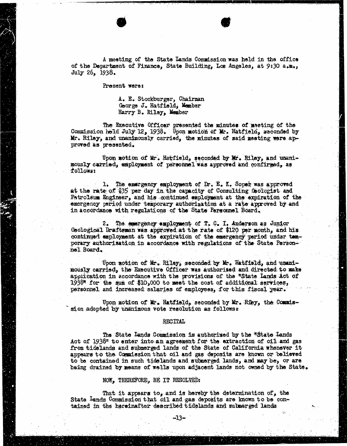A meeting of the State Lands Commission was held in the office of the Department of Finance, State Building, Los Angeles, at 9:30 a.m., July 26, 1938.

Present were:

# A. E. Stockburger, Chairman George J. Hatfield; Member Harry B. Riley, Member

The Executive Officer presented the minutes of meeting of Commission held July 12, 1938. Upon motion of M. Hatfield, second Mr. Riley, and unanimously carried, the minutes of said meeting were approved as presented.

Upon motion of Mr . Hatfield, seconded by Mr. Riley, and unanimously carried, employment of personnel was approved and confirmed, 28 follows:

1. The emergency employment of Dr. E. K. Soper was approved at the rate of \$35 per day in the capacity of Consulting Geologist and Patrolsum Engineer, and his continued employment at the expiration of the emergency period under temporary authorization at a rate approved by and in accordance with regulations of the State Persomel Board.

2. The cuergency employment of T. C. I. Anderson as Junior Geological Draftsman was approved at the rate of \$120 per month, and his continued employment at the expiration of the emergency period under temporary authorisation in accordance with regulations of the State Personno1 Board.

Upon motion of Mr. Riley, seconded by Mr. Hatfield, and unand- mously carried, the Executive Officer was authorised and directed to make application in accordance with the provisions of the "State Lands Act of 1938" for the sum of \$10,000 to meet the cost of additional services, personnel and increased salaries of employees, for this fiscal year.

Upon motion of Kr. Hatfield, seconded by Mr. Rity, the Commis- sion adopted by unanimous vote resolution as follows:

#### RECITAL

The State Lands Commission is authorised by the "State Lands Act of 1938" to enter into an agreement for the extraction of oil and gas from tidelands and submerged lands of the State of California whenever it appears to the Commission that oil and gas deposits are known or believed to be contained in such tide lands and submerged lands, and may be; or are being drained by means of wells upon adjacent lands not owned by the State.

## NOW, THEREFORE, BE IT RESOLVED:

That it appears to, and is hereby the determination of, the State lands Commission that oil and gas deposits are known to be contained in the hereinafter described tidelands and submerged lands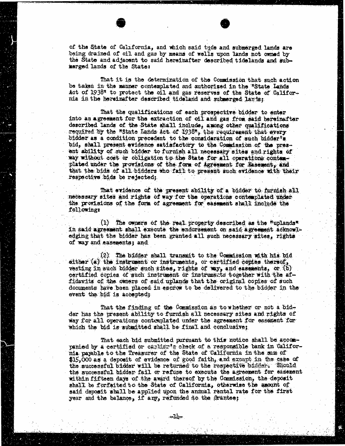of the State of California, and which said tide and submerged lands are being drained of oil and gas by means of wells upon lands not owned by the State and adjacent to said hereinafter described tidelands and submerged lands of the State:

That it is the determination of the Commission that such action be taken in the manner contemplated and authorized in the "State Lands Act of 1938" to protect the oil and gas reserves of the State of California in the hereinafter described tideland and submerged lan is;

That the qualifications of each prospective bidder to enter into an agreement for the extraction of oil and gas from said hereinafter described lands of the State shall include, among other qualifications required by the "State Lands Act of 1938", the requirement that every bidder as a condition precedent to the consideration of such bidder's bid, shall present evidence satisfactory to the Commission of the present ability of such bidder to furnish all necessary sites and rights of way without cost or obligation to the State for all operations contenplated under the provisions of the form of Agreement for Easement, and that the bids of all bidders who fail to present such evidence with their respective bids be rejected;

That evidence of the present ability of a bidder to furnish all necessary sites and rights of way for the operations contemplated under the provisions of the form of agreement for easement shall include the following:

(1) The owners of the real property described as the "uplands" in skid agreement shall execute the endorsement on said: agreement acknowle edging that the bidder has been granted all such necessary sites, rights of way and easements; and

(2) The bidder shall transmit to the Commission with his bid either (a) the instrument or instruments, or certified copies thereof, vesting in such bidder such sites, rights of way, and easements, or (b) certified copies of such instrument or instruments together with the affidavits of the owners of said uplands that the original copies of such documents have been placed in escrow to be delivered to the bidder in tha event the bid is accepted;

That the finding of the Commission as to whether or not a bidder has the present ability to furnish all necessary sites and rights of way for all operations contemplated under the agreement for easement for which the bid is submitted shall be final and conclusive;

That each bid submitted pursuant to this notice shall be accompanied by a certified or cashier's check of a responsible bank in Califor nia payable to the Treasurer of the State of California in the sum of \$15,000 as a deposit of evidence of good faith, and excapt in the case of the successful bidder will be returned to the respective bidder. Should the successful bidder fail or refuse to execute the agreement for easement within fifteen days of the award thereof by the Commission, the deposit shall be forfeited to the State of California, otherwise the amount of said deposit shall be applied upon the annual rental rate for the first year and the balance, if ary, refunded to the Grantee;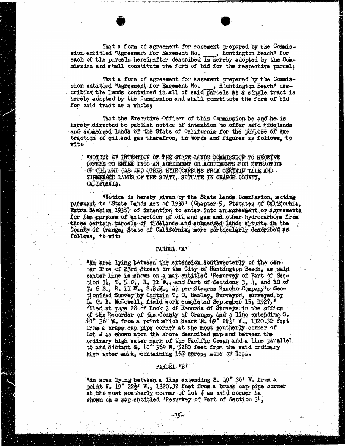That a form of agreement for easement prepared by the Commis-<br>sion entitled "Agreement for Easement No. , Huntington Beach" for each of the parcels hereinafter described is hereby adopted by the Commission and shall constitute the form of bid for the respective parcel;

That a form of agreement for easement prepared by the Commis-<br>sion entitled "Agreement for Easement No. J. Huntington Beach" des-<br>cribing the lands contained in all of said parcels as a single tract is hereby adopted by the Commission and shall constitute the form of bid for said tract as a whole;

That the Executive Officer of this Commission be and he is hereby directed to publish notice of intention to offer said tidelands and submerged lands of the State of California for the purpose of extraction of oil and gas therefrom, in words and figures as follows, to witz

"NOTICE OF INTENTION OF THE STATE LANDS COMMISSION TO RECEIVE OFFERS TO ENTER INTO AN AGREEMENT OR AGREEMENTS FOR EXTRACTION OF OIL AND GAS AND OTHER HYDROCARBONS FROM CERTAIN TIDE AND SUBMERGED LANDS OF THE STATE, SITUATE IN ORANGE COUNTY, CALIFORNIA.

"Notice is hereby given by the State Lands Commission, acting pursuant to 'State Lends Act of 1938 (Chapter 5, Statutes of California, Extra Session, 1938) of intention to enter into an agreement or agreements for the purpose of extraction of oil and gas and other hydrocarbons frat those certain parcels of tidelands and submerged lands situate in the County of Orarige, State of California, more particularly described as follows, to wits

# PARCEL 'A'

"An area lying between the extension southwesterly of the center line of 23rd Street in the City of Huntington Beach, as said center line is shown on a map entitled Resurvey of Part of Seccenter line is shown on a map entitled 'Resurvey of Part of Section  $34$ , T. 5  $S_{2.3}$ , R. 11 W., and Part of Sections 3,  $\mu$ , and 10 T. 6 S., R. 11 W., S.S.M., as per Stearns Rancho Company's Sectionized Survey by Captain T. C. Healey, Surveyor, surveyed by L. G. B. Mcdowell, field work completed September 15, 1927, filed at page 28 of Book 3 of Records of Surveys in the office of the Recorder of the County of Crange, and a line extending S.  $10^{\circ}$  36' W. from a point which bears N.  $19^{\circ}$  22 $\frac{1}{2}$ ' W., 1320.32 feet from a brass cap pipe corner at the most southerly corner of Lot J as shown upon the above described map and between the ordinary high water mark of the Pacific Ocean and a line parallel to and distant  $S$ .  $40^\circ$  36: W. 5280 feet from the said ordinary high water mark, containing 167 acres, mons of less.

#### PARCEL 'B'

"An area lying between a line extending S. 40" 36' W. from a point N. 19 22%' W., 1320.32 feet from a brass cap pipe corner at the most southerly corner of Lot J as said corner is shown on a map-entitled 'Resurvey of Part of Section 34,

-15-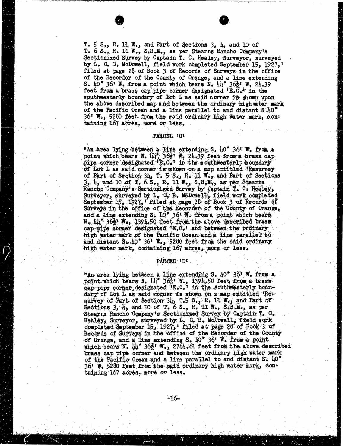T.  $5 S_{.9}$ , R. 11, W., and Part of Sections 3,  $\mu$ , and 10 of T. 6 S., R. 1I W., S.B.M., as per Stearns Rancho Company's Sectionized Survey by Captain T. C. Healey, Surveyor, surveyed by L. G. 3. McDowell, field work completed September 15, 1927,' filed at page 28 of Book 3. of Records of Surveys in the office of the Recorder of the County of Orange, and a line extending  $S.$   $\mu_0^*$  36<sup>t</sup> W. from a point which bears  $N.$   $\mu_1^*$  36<sup>t</sup> W. 2 $\mu_3$ 9 feet from a brass cap pipe corner designated 'E.C.' in the southwesterly boundary of Lot L as said corner is shown upon the above described map and between the ordinary high water mark of the Pacific Ocean and a line parallel to and distant \$ 40" 361  $W_{i,j}$ , 5280 feet from the raid ordinary high water mark, containing 167 acres, sore or less.

#### PARCEL. 'C'

"An area lying between a line extending S. 40" 36t W. from a point which bears N.  $11^{3}$ ;  $36^{11}$ , W. 21.39 feet from a brass cap. pipe corner designated 'E.C.' in the southwesterly boundary of Lot L as said corner is shown on a map entitled 'Resurvey of Part of Section 34, T. 5 S., R. 11 W., and Part of Sections  $3, 4$ , and 10 of T. 6.S., R. 11 W., S.B.M., as per Stearns. Rancho Company's Sectionized Survey by Captain T. C. Healey, Surveyor, surveyed by L. G. B. McDowell, field work completed September 15, 1927, ' filed at page 28 of Book 3 of Records of Surveys in the office of the Recorder of the County of Orange, and a line extending S.  $\ln 0$  36' W. from a point which bears. N. 14 36 W., 1394.50 feet from the above described brass cap pipe corner designated E.C. ' and between the ordinary high water mark of the Pacific Ocean and a line parallel to and distant  $S$ . 40<sup> $\bullet$ </sup> 36<sup> $\cdot$ </sup> W., 5280 feet from the said ordinary high water mark, containing 167 acres, more or less.

# PARGEL <sup>.t</sup>D'

"An area lying between a line extending S. 40 36 W. from a point which bears N. U4<sup>2</sup> 3621 W., 1394.50 feet from a brass cap pipe corner, designated 'E.C.' in the southwesterly boundary of Lot L as said corner is shown on a map entitled 'Resurvey of Part of Section 34, T.5 S., R. 11 W., and Part Sections  $3, 4$ , and 10 of T. 6 S., R. 11 W., S.B.M., a Stearns Rancho Company's Sectionized Survey by Captain T, C. Healey, Surveyor, surveyed by L. G. B. Mcdowell, field work completed September 15, 1927, ' filed at page 28 of Book 3 of Records of Surveys in the office of the Recorder of the County of Orange, and a line extending  $S$ .  $10^2$  36<sup>t</sup> W. from a point which bears  $N_e$   $\frac{111^4}{262^4}$   $\frac{12761.61}{262}$  feet from the above described brass cap pipe corner and between the ordinary high water mark of the Pacific Ocean and a line parallel to and distant S. Lo" 36' w. 5280 feet from the said ordinary high water mark, containing 167 acres, more or less.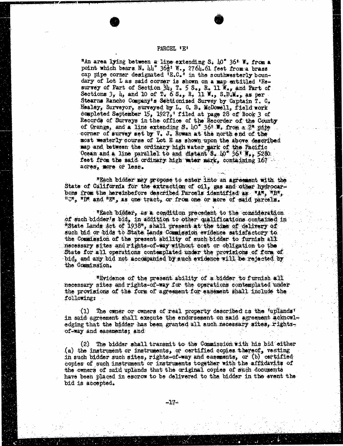### PARCEL <sup>1</sup>E'

"An area lying between a line extending S. 10" 36' W. from a point which bears. N.  $44.36\frac{1}{2}$  W., 2764.61 feet from a brass cap pipe corner designated  $IE.C.*$  in the southwesterly bounddary of Lot L as said corner is shown on a map entitled 'Resurvey of Part of Section 34,  $T_e$  5 S., R. 11  $\mathbb{F}_{e}$ , and Part of Sections  $3$ ,  $4$ , and 10 of  $T_s$  6  $S_{4}$ , R. 11 W.,  $S_s B_s W_s$ , as per Stearns Rancho Company's Sectionized Survey by Captain T. C. Healey, Surveyor, surveyed by L. G. B. Mcdowell, field work completed September 15, 1927, ' filed at page 28 of Book 3 of Records of Surveys in the office of the Recorder of the County of Orange, and a line extending S.  $\mu$ <sup>o</sup> 36: W. from a  $2^{\mu}$  pipe corner of survey set by  $V$ . J. Rowan at the north end of the most westerly course of Lot E as shown upon the above described map and between the ordinary high water mark of the Pacific Ocean and a line parallel to and distant  $S.$   $10''$   $36''$   $\mathbb{R}$ . 5280. feet from the said ordinary high water mark, containing 167 acres, more or less.

"Each bidder mey propose to enter into an agreement with the State of California for the extraction of oil, gas and other hydrocarbons from the hereinbefore described Parcels identified as "AN, "B", itch, "D" and "E", as one tract, or from one or more of said parcels.

"Each biddar, as a condition precedent to the consideration of such bidder's bid, in addition to other qualifications contained in "State Lands Act of 1938", shall present at the time of delivery of such bid or bids to State lands Commission evidence satisfactory to the Commission of the present ability of such bidder to furnish all necessary sites and rights of-way without cost or obligation to the State for all operations contemplated under the provisions of form of bid, and any bid not accompanied by such evidence will be rejected by the Commission,

"Evidence of the present ability of a bidder to furnish all necessary sites and rights-of way for the operations contemplated under the provisions of the form of agreement for easement shall include the following:

(1) The omer or owners of real property described as the 'uplands in said agreement shall execute the endorsement on said agreement acknowle edging that the bidder has been granted all such necessary sites, rightsof-way and easements; and

(2) The bidder shall transmit to the Commission with his bid either (a) the instrument or instruments, or certified copies thereof, vesting in such bidder such sites, rights-of-way and easements, or (b) certified copies of such instrument or instruments together with the affidavits of the owners of said uplands that the original copies of such documents have been placed in escrow to be delivered to the bidder in the event the bid is accepted.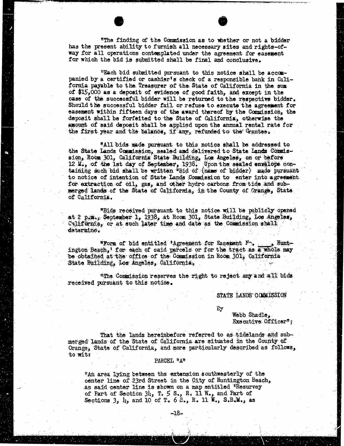"The finding of the Commission as to whether or not a bidder has the present ability to furnish all necessary sites and rights-ofway for all operations contemplated under the agreement for easement for which the bid is submitted shall be final and conclusive.

"Each bid submitted pursuant to this notice shall be accom- panied by a certified or cashier's check of a responsible bank in California payable to the Treasurer of the State of California in the sun of \$15,000 as a deposit of evidence of good faith, and except in the case of the successful bidder will be returned to the respective bidder. Should the successful bidder fail or refuse to execute the agreement for easement within fifteen days of the award thereof by the Commission, the deposit shall be forfeited to the State of California, otherwise the amount of said deposit shall be applied upon the annual rental rate for the first year and the balance, if any, refunded to the Granites.

"All bids made pursuant to this notice shall be addressed to the State Lands Commission, sealed and delivered to State Lands Commission, Room 301, California State Building, Los Angeles, on or bef 12 K., of the lat day of September, 1938. Upon the sealed envelope containing such bid shall be written "Bid of (name of bidder) made pursuant to notice of intention of State Lands Commission to enter into agreement. for extraction of oil, gas, and other hydro carbons from tide and submerged lands of the State of California, in the County of Orange, State of California.

"Bids received pursuant to this notice will be publicly opened at 2 p.mis September 1, 1938, at Room 301, State Building, Los Angeles, California, or at such later time and date as the Commission shall determine.

"Form of bid entitled 'Agreement for Basement No. Hun ington Beach, ' for each of said parcels or for the tract as a be obtained at the office of the Commission in Room 301, California State Building, Los Angeles, California.

"The Commission reserves the right to reject any and all bids received pursuant to this notice.

STATE LANDS' COMMISSION

By

Webb Shadle, Executive Officer";

That the lands hereinbefore referred to as tidelands and submerged lands of the State of California are situated in the County of Orange, State of California, and more particularly described as follows, to wit:

# PARCEL "A"

"An area lying between the extension southwesterly of the center line of 23rd Street in the City of Huntington Beach, as said center line is shown on a map entitled 'Resurvey of Part of Section  $34$ , T. 5 S., R. 11 W., and Part of Sections 3,  $l_i$ , and 10 of T. 6  $k_{i,j}$  R. 11 W., S.B.M., as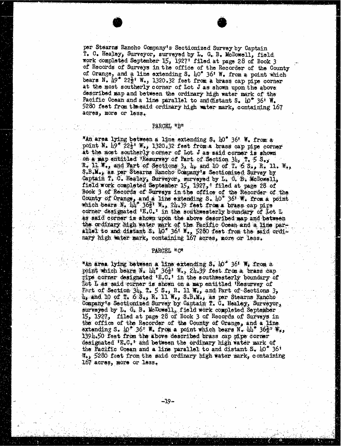per Stearns Rancho Company's Sectionized Survey by Captain T. C. Healey, Surveyor, surveyed by L. G.. B. Mcdowell, field work completed September 15, 1927' filed at page 28 of Book 3 of Records of Surveys in the office of the Recorder of the County of Orange, and a line extending S. 40° 36' W. from a point which bears  $N$ .  $19^{\circ}$  22 $\frac{1}{2}$ ' W., 1320.32 feet from a brass cap pipe corner at the most southerly corner of Lot J as shown upon the above described map and between the ordinary high water mark of the Pacific Ocean and a line parallel to and distant S.  $10^{\circ}$  36' W. 5280 feet from the said ordinary high water mark, containing 167 acres, more or less.

#### PARCEL #BH

"An area lying between a line extending S. 10 36' W. from a point N. 19<sup>2</sup> 22<sup>2</sup> W., 1320.32 feet from a brass cap pipe corner at the most southerly corner of Lot. J as said corner is shown on a pap entitled 'Resurvey of Part of Section 34, T. 5 S., R. 11. W., S. B. M., as per Stearns Rancho Company's Sectionized Survey by Captain T. C. Healey, Surveyor, surveyed by L. G. B. McDowell, field work completed September 15, 1927, ! filed at page 28 of Book 3 of Records of Surveys in the office of the Recorder of the County of Orange, and a line extending  $S_{\bullet}$  10 36' W. from a which bears  $N_e$   $10^{18}$   $362'$   $N_e$ ,  $20.39$  feet from a brass cap pi corner designated 'E.C.! in the southwesterly boundary of Lot L as said corner is show upon the above described map and between the ordinary high water mark of the Pacific Ocean and a line parallel to and distant S.  $10^9$  36<sup>1</sup> W., 5280 feet from the said ordimary high water mark, containing 167 acres, more or less.

### PARCEL "C"

-19-

"An area lying between a line extending S. 10 36' W. from a point which bears N. Wi" 3621 W., 24.39 feat from a brass cap ripe corner designated E.C.! in the southwesterly boundary of but I as said corner is shown on a map entitled 'Resurvey of Fact of Section 34, T. 5 S., R. 11 W., and Part of Sections 3, 4, and 10 of T. 6 S., R. 11 W., S.B.M., as per Stearns Rancho Company 's Sectionized Survey by Captain T. C. Healey, Surveyor, surveyed by L. G: B. Mcdowell, field work completed September 15, 1927, filed at page 28 of Book 3 of Records of Surveys in the office of the Recorder of the County of Orange, and a Line extending S.  $10^{\circ}$  36! W. from a point which bears N.  $44^{\circ}$  36<sup>27</sup> W., 1394.50 feet from the above described brass cap pipe corner designated 'E.C, " and between the ordinary high water mark of the Pacific Ocean and a line parallel to and distant  $S$ .  $\mu$ <sup>0</sup> 36<sup>1</sup> We; 5280 feet from the said ordinary high water mark, containing 167 acres, more or less.